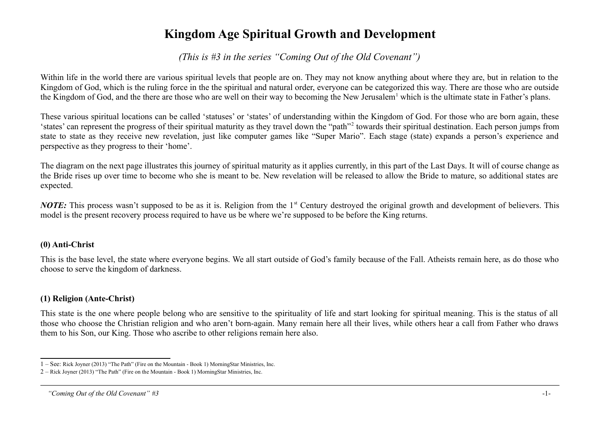# **Kingdom Age Spiritual Growth and Development**

*(This is #3 in the series "Coming Out of the Old Covenant")*

Within life in the world there are various spiritual levels that people are on. They may not know anything about where they are, but in relation to the Kingdom of God, which is the ruling force in the the spiritual and natural order, everyone can be categorized this way. There are those who are outside the Kingdom of God, and the there are those who are well on their way to becoming the New Jerusalem<sup>[1](#page-0-0)</sup> which is the ultimate state in Father's plans.

These various spiritual locations can be called 'statuses' or 'states' of understanding within the Kingdom of God. For those who are born again, these 'states' can represent the progress of their spiritual maturity as they travel down the "path"<sup>[2](#page-0-1)</sup> towards their spiritual destination. Each person jumps from state to state as they receive new revelation, just like computer games like "Super Mario". Each stage (state) expands a person's experience and perspective as they progress to their 'home'.

The diagram on the next page illustrates this journey of spiritual maturity as it applies currently, in this part of the Last Days. It will of course change as the Bride rises up over time to become who she is meant to be. New revelation will be released to allow the Bride to mature, so additional states are expected.

*NOTE*: This process wasn't supposed to be as it is. Religion from the 1<sup>st</sup> Century destroyed the original growth and development of believers. This model is the present recovery process required to have us be where we're supposed to be before the King returns.

#### **(0) Anti-Christ**

This is the base level, the state where everyone begins. We all start outside of God's family because of the Fall. Atheists remain here, as do those who choose to serve the kingdom of darkness.

# **(1) Religion (Ante-Christ)**

This state is the one where people belong who are sensitive to the spirituality of life and start looking for spiritual meaning. This is the status of all those who choose the Christian religion and who aren't born-again. Many remain here all their lives, while others hear a call from Father who draws them to his Son, our King. Those who ascribe to other religions remain here also.

<span id="page-0-0"></span><sup>1 –</sup> See: Rick Joyner (2013) "The Path" (Fire on the Mountain - Book 1) MorningStar Ministries, Inc.

<span id="page-0-1"></span><sup>2 –</sup> Rick Joyner (2013) "The Path" (Fire on the Mountain - Book 1) MorningStar Ministries, Inc.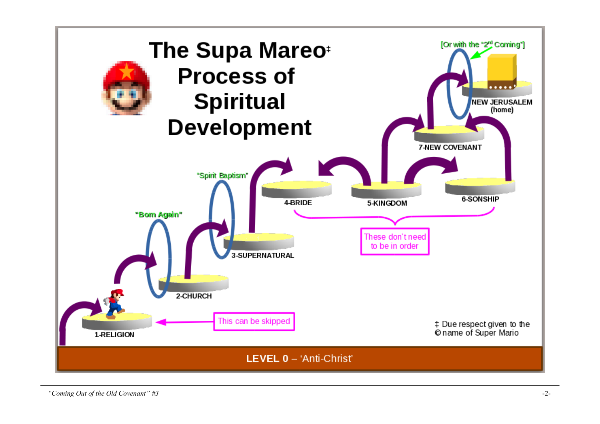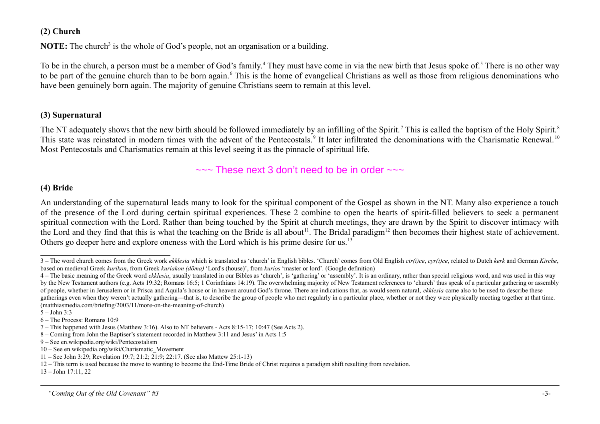#### **(2) Church**

**NOTE:** The church<sup>[3](#page-2-0)</sup> is the whole of God's people, not an organisation or a building.

To be in the church, a person must be a member of God's family.<sup>[4](#page-2-1)</sup> They must have come in via the new birth that Jesus spoke of.<sup>[5](#page-2-2)</sup> There is no other way to be part of the genuine church than to be born again.<sup>[6](#page-2-3)</sup> This is the home of evangelical Christians as well as those from religious denominations who have been genuinely born again. The majority of genuine Christians seem to remain at this level.

#### **(3) Supernatural**

The NT adequately shows that the new birth should be followed immediately by an infilling of the Spirit.<sup>[7](#page-2-4)</sup> This is called the baptism of the Holy Spirit.<sup>[8](#page-2-5)</sup> This state was reinstated in modern times with the advent of the Pentecostals.<sup>[9](#page-2-6)</sup> It later infiltrated the denominations with the Charismatic Renewal.<sup>[10](#page-2-7)</sup> Most Pentecostals and Charismatics remain at this level seeing it as the pinnacle of spiritual life.

 $\sim$  These next 3 don't need to be in order  $\sim$ 

## **(4) Bride**

An understanding of the supernatural leads many to look for the spiritual component of the Gospel as shown in the NT. Many also experience a touch of the presence of the Lord during certain spiritual experiences. These 2 combine to open the hearts of spirit-filled believers to seek a permanent spiritual connection with the Lord. Rather than being touched by the Spirit at church meetings, they are drawn by the Spirit to discover intimacy with the Lord and they find that this is what the teaching on the Bride is all about<sup>[11](#page-2-8)</sup>. The Bridal paradigm<sup>[12](#page-2-9)</sup> then becomes their highest state of achievement. Others go deeper here and explore oneness with the Lord which is his prime desire for us.[13](#page-2-10)

<span id="page-2-10"></span>13 – John 17:11, 22

<span id="page-2-0"></span><sup>3 –</sup> The word church comes from the Greek work ekklesia which is translated as 'church' in English bibles. 'Church' comes from Old English cir(i)ce, cyr(i)ce, related to Dutch kerk and German Kirche, based on medieval Greek *kurikon*, from Greek *kuriakon (dōma)* 'Lord's (house)', from *kurios* 'master or lord'. (Google definition)

<span id="page-2-1"></span><sup>4 –</sup> The basic meaning of the Greek word *ekklesia*, usually translated in our Bibles as 'church', is 'gathering' or 'assembly'. It is an ordinary, rather than special religious word, and was used in this way by the New Testament authors (e.g. Acts 19:32; Romans 16:5; 1 Corinthians 14:19). The overwhelming majority of New Testament references to 'church' thus speak of a particular gathering or assembly of people, whether in Jerusalem or in Prisca and Aquila's house or in heaven around God's throne. There are indications that, as would seem natural, *ekklesia* came also to be used to describe these gatherings even when they weren't actually gathering—that is, to describe the group of people who met regularly in a particular place, whether or not they were physically meeting together at that time. (matthiasmedia.com/briefing/2003/11/more-on-the-meaning-of-church)

<span id="page-2-2"></span> $5 -$  John  $3.3$ 

<span id="page-2-3"></span><sup>6 –</sup> The Process: Romans 10:9

<span id="page-2-4"></span><sup>7 –</sup> This happened with Jesus (Matthew 3:16). Also to NT believers - Acts 8:15-17; 10:47 (See Acts 2).

<span id="page-2-5"></span><sup>8 –</sup> Coming from John the Baptiser's statement recorded in Matthew 3:11 and Jesus' in Acts 1:5

<span id="page-2-6"></span><sup>9 –</sup> See en.wikipedia.org/wiki/Pentecostalism

<span id="page-2-7"></span><sup>10 –</sup> See en.wikipedia.org/wiki/Charismatic\_Movement

<span id="page-2-8"></span><sup>11 –</sup> See John 3:29; Revelation 19:7; 21:2; 21:9; 22:17. (See also Mattew 25:1-13)

<span id="page-2-9"></span><sup>12 –</sup> This term is used because the move to wanting to become the End-Time Bride of Christ requires a paradigm shift resulting from revelation.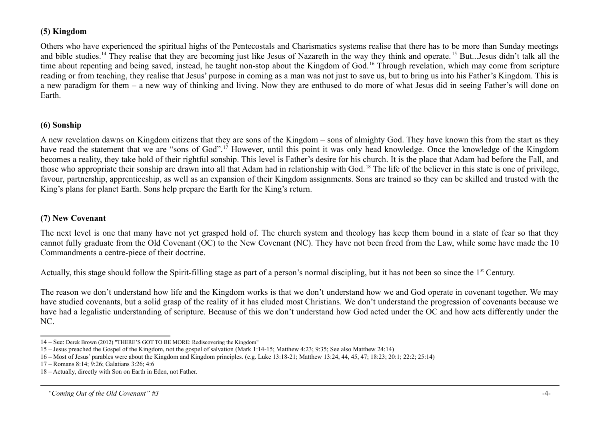## **(5) Kingdom**

Others who have experienced the spiritual highs of the Pentecostals and Charismatics systems realise that there has to be more than Sunday meetings and bible studies.<sup>[14](#page-3-0)</sup> They realise that they are becoming just like Jesus of Nazareth in the way they think and operate.<sup>[15](#page-3-1)</sup> But...Jesus didn't talk all the time about repenting and being saved, instead, he taught non-stop about the Kingdom of God.<sup>[16](#page-3-2)</sup> Through revelation, which may come from scripture reading or from teaching, they realise that Jesus' purpose in coming as a man was not just to save us, but to bring us into his Father's Kingdom. This is a new paradigm for them – a new way of thinking and living. Now they are enthused to do more of what Jesus did in seeing Father's will done on Earth.

# **(6) Sonship**

A new revelation dawns on Kingdom citizens that they are sons of the Kingdom – sons of almighty God. They have known this from the start as they have read the statement that we are "sons of God".<sup>[17](#page-3-3)</sup> However, until this point it was only head knowledge. Once the knowledge of the Kingdom becomes a reality, they take hold of their rightful sonship. This level is Father's desire for his church. It is the place that Adam had before the Fall, and those who appropriate their sonship are drawn into all that Adam had in relationship with God. [18](#page-3-4) The life of the believer in this state is one of privilege, favour, partnership, apprenticeship, as well as an expansion of their Kingdom assignments. Sons are trained so they can be skilled and trusted with the King's plans for planet Earth. Sons help prepare the Earth for the King's return.

# **(7) New Covenant**

The next level is one that many have not yet grasped hold of. The church system and theology has keep them bound in a state of fear so that they cannot fully graduate from the Old Covenant (OC) to the New Covenant (NC). They have not been freed from the Law, while some have made the 10 Commandments a centre-piece of their doctrine.

Actually, this stage should follow the Spirit-filling stage as part of a person's normal discipling, but it has not been so since the 1<sup>st</sup> Century.

The reason we don't understand how life and the Kingdom works is that we don't understand how we and God operate in covenant together. We may have studied covenants, but a solid grasp of the reality of it has eluded most Christians. We don't understand the progression of covenants because we have had a legalistic understanding of scripture. Because of this we don't understand how God acted under the OC and how acts differently under the NC.

<span id="page-3-0"></span><sup>14 –</sup> See: Derek Brown (2012) "THERE'S GOT TO BE MORE: Rediscovering the Kingdom"

<span id="page-3-1"></span><sup>15 –</sup> Jesus preached the Gospel of the Kingdom, not the gospel of salvation (Mark 1:14-15; Matthew 4:23; 9:35; See also Matthew 24:14)

<span id="page-3-2"></span><sup>16 –</sup> Most of Jesus' parables were about the Kingdom and Kingdom principles. (e.g. Luke 13:18-21; Matthew 13:24, 44, 45, 47; 18:23; 20:1; 22:2; 25:14)

<span id="page-3-3"></span><sup>17 –</sup> Romans 8:14; 9:26; Galatians 3:26; 4:6

<span id="page-3-4"></span><sup>18 –</sup> Actually, directly with Son on Earth in Eden, not Father.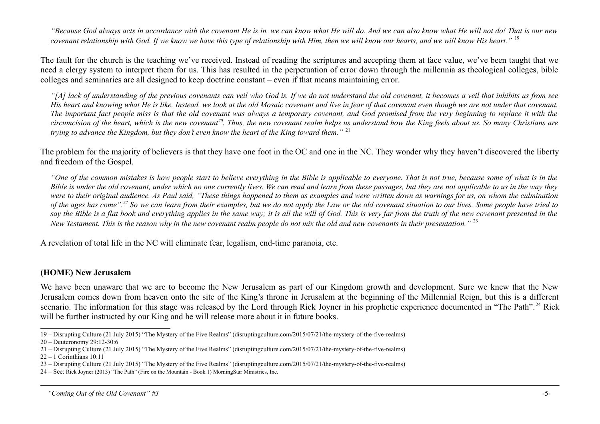*"Because God always acts in accordance with the covenant He is in, we can know what He will do. And we can also know what He will not do! That is our new covenant relationship with God. If we know we have this type of relationship with Him, then we will know our hearts, and we will know His heart."* [19](#page-4-0)

The fault for the church is the teaching we've received. Instead of reading the scriptures and accepting them at face value, we've been taught that we need a clergy system to interpret them for us. This has resulted in the perpetuation of error down through the millennia as theological colleges, bible colleges and seminaries are all designed to keep doctrine constant – even if that means maintaining error.

*"[A] lack of understanding of the previous covenants can veil who God is. If we do not understand the old covenant, it becomes a veil that inhibits us from see His heart and knowing what He is like. Instead, we look at the old Mosaic covenant and live in fear of that covenant even though we are not under that covenant. The important fact people miss is that the old covenant was always a temporary covenant, and God promised from the very beginning to replace it with the circumcision of the heart, which is the new covenant[20](#page-4-1). Thus, the new covenant realm helps us understand how the King feels about us. So many Christians are trying to advance the Kingdom, but they don't even know the heart of the King toward them."* [21](#page-4-2)

The problem for the majority of believers is that they have one foot in the OC and one in the NC. They wonder why they haven't discovered the liberty and freedom of the Gospel.

*"One of the common mistakes is how people start to believe everything in the Bible is applicable to everyone. That is not true, because some of what is in the Bible is under the old covenant, under which no one currently lives. We can read and learn from these passages, but they are not applicable to us in the way they were to their original audience. As Paul said, "These things happened to them as examples and were written down as warnings for us, on whom the culmination of the ages has come".[22](#page-4-3) So we can learn from their examples, but we do not apply the Law or the old covenant situation to our lives. Some people have tried to say the Bible is a flat book and everything applies in the same way; it is all the will of God. This is very far from the truth of the new covenant presented in the New Testament. This is the reason why in the new covenant realm people do not mix the old and new covenants in their presentation."* [23](#page-4-4)

A revelation of total life in the NC will eliminate fear, legalism, end-time paranoia, etc.

#### **(HOME) New Jerusalem**

We have been unaware that we are to become the New Jerusalem as part of our Kingdom growth and development. Sure we knew that the New Jerusalem comes down from heaven onto the site of the King's throne in Jerusalem at the beginning of the Millennial Reign, but this is a different scenario. The information for this stage was released by the Lord through Rick Joyner in his prophetic experience documented in "The Path".<sup>[24](#page-4-5)</sup> Rick will be further instructed by our King and he will release more about it in future books.

<span id="page-4-0"></span><sup>19 –</sup> Disrupting Culture (21 July 2015) "The Mystery of the Five Realms" (disruptingculture.com/2015/07/21/the-mystery-of-the-five-realms)

<span id="page-4-1"></span><sup>20 –</sup> Deuteronomy 29:12-30:6

<span id="page-4-2"></span><sup>21 –</sup> Disrupting Culture (21 July 2015) "The Mystery of the Five Realms" (disruptingculture.com/2015/07/21/the-mystery-of-the-five-realms)

<span id="page-4-3"></span> $22 - 1$  Corinthians  $10:11$ 

<span id="page-4-4"></span><sup>23 –</sup> Disrupting Culture (21 July 2015) "The Mystery of the Five Realms" (disruptingculture.com/2015/07/21/the-mystery-of-the-five-realms)

<span id="page-4-5"></span><sup>24 –</sup> See: Rick Joyner (2013) "The Path" (Fire on the Mountain - Book 1) MorningStar Ministries, Inc.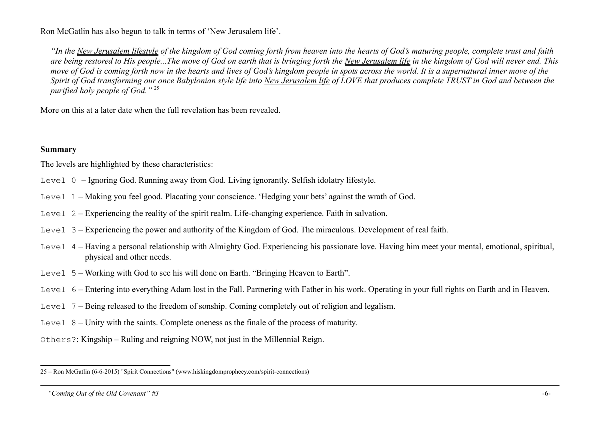Ron McGatlin has also begun to talk in terms of 'New Jerusalem life'.

*"In the New Jerusalem lifestyle of the kingdom of God coming forth from heaven into the hearts of God's maturing people, complete trust and faith are being restored to His people...The move of God on earth that is bringing forth the New Jerusalem life in the kingdom of God will never end. This move of God is coming forth now in the hearts and lives of God's kingdom people in spots across the world. It is a supernatural inner move of the Spirit of God transforming our once Babylonian style life into New Jerusalem life of LOVE that produces complete TRUST in God and between the purified holy people of God."* [25](#page-5-0)

More on this at a later date when the full revelation has been revealed.

#### **Summary**

The levels are highlighted by these characteristics:

- Level 0 Ignoring God. Running away from God. Living ignorantly. Selfish idolatry lifestyle.
- Level 1 Making you feel good. Placating your conscience. 'Hedging your bets' against the wrath of God.
- Level 2 Experiencing the reality of the spirit realm. Life-changing experience. Faith in salvation.
- Level 3 Experiencing the power and authority of the Kingdom of God. The miraculous. Development of real faith.
- Level 4 Having a personal relationship with Almighty God. Experiencing his passionate love. Having him meet your mental, emotional, spiritual, physical and other needs.
- Level 5 Working with God to see his will done on Earth. "Bringing Heaven to Earth".
- Level 6 Entering into everything Adam lost in the Fall. Partnering with Father in his work. Operating in your full rights on Earth and in Heaven.
- Level 7 Being released to the freedom of sonship. Coming completely out of religion and legalism.
- Level 8 Unity with the saints. Complete oneness as the finale of the process of maturity.
- Others?: Kingship Ruling and reigning NOW, not just in the Millennial Reign.

<span id="page-5-0"></span><sup>25 –</sup> Ron McGatlin (6-6-2015) "Spirit Connections" (www.hiskingdomprophecy.com/spirit-connections)

 *<sup>&</sup>quot;Coming Out of the Old Covenant" #3* -6-